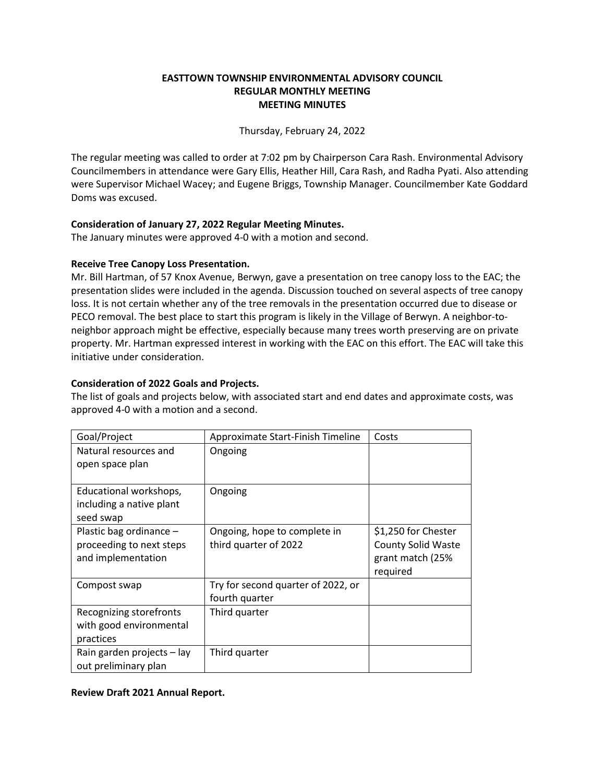## **EASTTOWN TOWNSHIP ENVIRONMENTAL ADVISORY COUNCIL REGULAR MONTHLY MEETING MEETING MINUTES**

Thursday, February 24, 2022

The regular meeting was called to order at 7:02 pm by Chairperson Cara Rash. Environmental Advisory Councilmembers in attendance were Gary Ellis, Heather Hill, Cara Rash, and Radha Pyati. Also attending were Supervisor Michael Wacey; and Eugene Briggs, Township Manager. Councilmember Kate Goddard Doms was excused.

## **Consideration of January 27, 2022 Regular Meeting Minutes.**

The January minutes were approved 4-0 with a motion and second.

# **Receive Tree Canopy Loss Presentation.**

Mr. Bill Hartman, of 57 Knox Avenue, Berwyn, gave a presentation on tree canopy loss to the EAC; the presentation slides were included in the agenda. Discussion touched on several aspects of tree canopy loss. It is not certain whether any of the tree removals in the presentation occurred due to disease or PECO removal. The best place to start this program is likely in the Village of Berwyn. A neighbor-toneighbor approach might be effective, especially because many trees worth preserving are on private property. Mr. Hartman expressed interest in working with the EAC on this effort. The EAC will take this initiative under consideration.

# **Consideration of 2022 Goals and Projects.**

The list of goals and projects below, with associated start and end dates and approximate costs, was approved 4-0 with a motion and a second.

| Goal/Project                                                              | Approximate Start-Finish Timeline                     | Costs                                                                            |
|---------------------------------------------------------------------------|-------------------------------------------------------|----------------------------------------------------------------------------------|
| Natural resources and<br>open space plan                                  | Ongoing                                               |                                                                                  |
| Educational workshops,<br>including a native plant<br>seed swap           | Ongoing                                               |                                                                                  |
| Plastic bag ordinance -<br>proceeding to next steps<br>and implementation | Ongoing, hope to complete in<br>third quarter of 2022 | \$1,250 for Chester<br><b>County Solid Waste</b><br>grant match (25%<br>required |
| Compost swap                                                              | Try for second quarter of 2022, or<br>fourth quarter  |                                                                                  |
| Recognizing storefronts<br>with good environmental<br>practices           | Third quarter                                         |                                                                                  |
| Rain garden projects - lay<br>out preliminary plan                        | Third quarter                                         |                                                                                  |

## **Review Draft 2021 Annual Report.**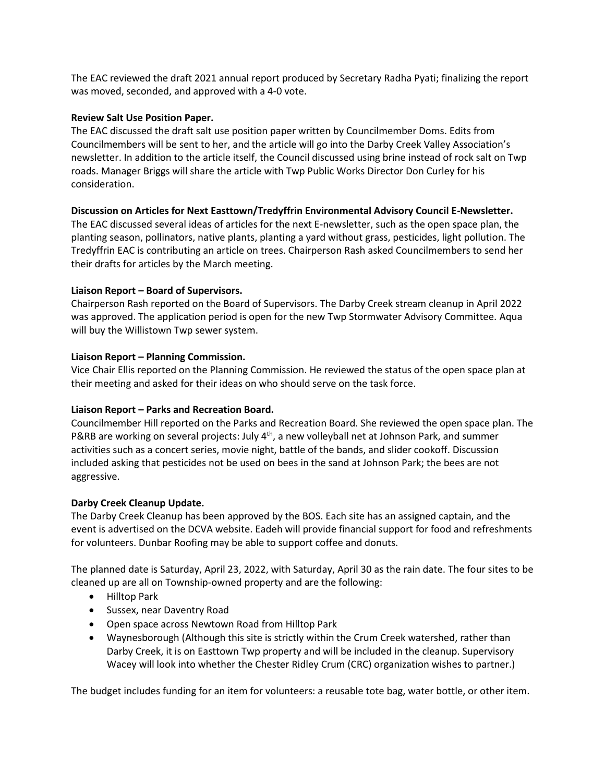The EAC reviewed the draft 2021 annual report produced by Secretary Radha Pyati; finalizing the report was moved, seconded, and approved with a 4-0 vote.

## **Review Salt Use Position Paper.**

The EAC discussed the draft salt use position paper written by Councilmember Doms. Edits from Councilmembers will be sent to her, and the article will go into the Darby Creek Valley Association's newsletter. In addition to the article itself, the Council discussed using brine instead of rock salt on Twp roads. Manager Briggs will share the article with Twp Public Works Director Don Curley for his consideration.

## **Discussion on Articles for Next Easttown/Tredyffrin Environmental Advisory Council E-Newsletter.**

The EAC discussed several ideas of articles for the next E-newsletter, such as the open space plan, the planting season, pollinators, native plants, planting a yard without grass, pesticides, light pollution. The Tredyffrin EAC is contributing an article on trees. Chairperson Rash asked Councilmembers to send her their drafts for articles by the March meeting.

## **Liaison Report – Board of Supervisors.**

Chairperson Rash reported on the Board of Supervisors. The Darby Creek stream cleanup in April 2022 was approved. The application period is open for the new Twp Stormwater Advisory Committee. Aqua will buy the Willistown Twp sewer system.

### **Liaison Report – Planning Commission.**

Vice Chair Ellis reported on the Planning Commission. He reviewed the status of the open space plan at their meeting and asked for their ideas on who should serve on the task force.

## **Liaison Report – Parks and Recreation Board.**

Councilmember Hill reported on the Parks and Recreation Board. She reviewed the open space plan. The P&RB are working on several projects: July  $4<sup>th</sup>$ , a new volleyball net at Johnson Park, and summer activities such as a concert series, movie night, battle of the bands, and slider cookoff. Discussion included asking that pesticides not be used on bees in the sand at Johnson Park; the bees are not aggressive.

## **Darby Creek Cleanup Update.**

The Darby Creek Cleanup has been approved by the BOS. Each site has an assigned captain, and the event is advertised on the DCVA website. Eadeh will provide financial support for food and refreshments for volunteers. Dunbar Roofing may be able to support coffee and donuts.

The planned date is Saturday, April 23, 2022, with Saturday, April 30 as the rain date. The four sites to be cleaned up are all on Township-owned property and are the following:

- Hilltop Park
- Sussex, near Daventry Road
- Open space across Newtown Road from Hilltop Park
- Waynesborough (Although this site is strictly within the Crum Creek watershed, rather than Darby Creek, it is on Easttown Twp property and will be included in the cleanup. Supervisory Wacey will look into whether the Chester Ridley Crum (CRC) organization wishes to partner.)

The budget includes funding for an item for volunteers: a reusable tote bag, water bottle, or other item.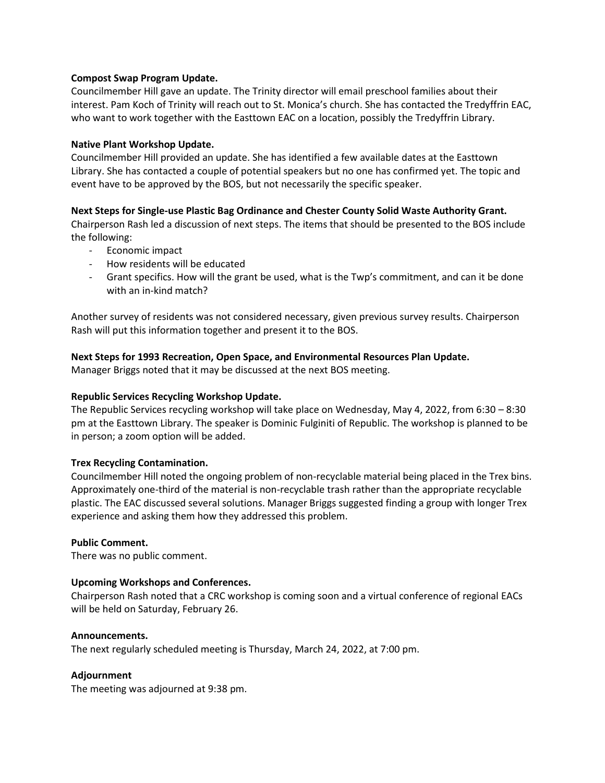### **Compost Swap Program Update.**

Councilmember Hill gave an update. The Trinity director will email preschool families about their interest. Pam Koch of Trinity will reach out to St. Monica's church. She has contacted the Tredyffrin EAC, who want to work together with the Easttown EAC on a location, possibly the Tredyffrin Library.

### **Native Plant Workshop Update.**

Councilmember Hill provided an update. She has identified a few available dates at the Easttown Library. She has contacted a couple of potential speakers but no one has confirmed yet. The topic and event have to be approved by the BOS, but not necessarily the specific speaker.

#### **Next Steps for Single-use Plastic Bag Ordinance and Chester County Solid Waste Authority Grant.**

Chairperson Rash led a discussion of next steps. The items that should be presented to the BOS include the following:

- Economic impact
- How residents will be educated
- Grant specifics. How will the grant be used, what is the Twp's commitment, and can it be done with an in-kind match?

Another survey of residents was not considered necessary, given previous survey results. Chairperson Rash will put this information together and present it to the BOS.

## **Next Steps for 1993 Recreation, Open Space, and Environmental Resources Plan Update.**

Manager Briggs noted that it may be discussed at the next BOS meeting.

## **Republic Services Recycling Workshop Update.**

The Republic Services recycling workshop will take place on Wednesday, May 4, 2022, from 6:30 – 8:30 pm at the Easttown Library. The speaker is Dominic Fulginiti of Republic. The workshop is planned to be in person; a zoom option will be added.

## **Trex Recycling Contamination.**

Councilmember Hill noted the ongoing problem of non-recyclable material being placed in the Trex bins. Approximately one-third of the material is non-recyclable trash rather than the appropriate recyclable plastic. The EAC discussed several solutions. Manager Briggs suggested finding a group with longer Trex experience and asking them how they addressed this problem.

#### **Public Comment.**

There was no public comment.

## **Upcoming Workshops and Conferences.**

Chairperson Rash noted that a CRC workshop is coming soon and a virtual conference of regional EACs will be held on Saturday, February 26.

#### **Announcements.**

The next regularly scheduled meeting is Thursday, March 24, 2022, at 7:00 pm.

## **Adjournment**

The meeting was adjourned at 9:38 pm.